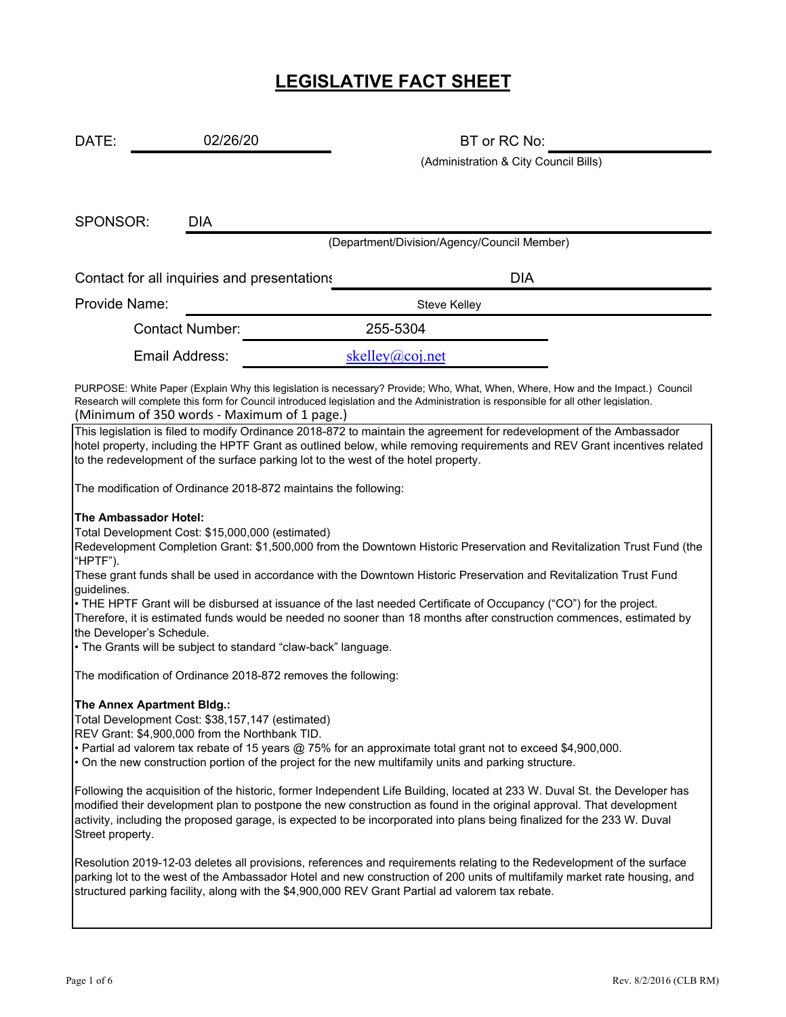# **LEGISLATIVE FACT SHEET**

| DATE:                                                                                                                                                                                                                                                                                                                                                                                             | 02/26/20                                                        |                                                                                                                     | BT or RC No:                                                                                                           |  |  |  |
|---------------------------------------------------------------------------------------------------------------------------------------------------------------------------------------------------------------------------------------------------------------------------------------------------------------------------------------------------------------------------------------------------|-----------------------------------------------------------------|---------------------------------------------------------------------------------------------------------------------|------------------------------------------------------------------------------------------------------------------------|--|--|--|
|                                                                                                                                                                                                                                                                                                                                                                                                   |                                                                 |                                                                                                                     | (Administration & City Council Bills)                                                                                  |  |  |  |
|                                                                                                                                                                                                                                                                                                                                                                                                   |                                                                 |                                                                                                                     |                                                                                                                        |  |  |  |
| SPONSOR:                                                                                                                                                                                                                                                                                                                                                                                          | <b>DIA</b>                                                      |                                                                                                                     |                                                                                                                        |  |  |  |
|                                                                                                                                                                                                                                                                                                                                                                                                   |                                                                 | (Department/Division/Agency/Council Member)                                                                         |                                                                                                                        |  |  |  |
|                                                                                                                                                                                                                                                                                                                                                                                                   | Contact for all inquiries and presentations                     |                                                                                                                     | <b>DIA</b>                                                                                                             |  |  |  |
| Provide Name:                                                                                                                                                                                                                                                                                                                                                                                     |                                                                 | <b>Steve Kelley</b>                                                                                                 |                                                                                                                        |  |  |  |
| <b>Contact Number:</b>                                                                                                                                                                                                                                                                                                                                                                            |                                                                 | 255-5304                                                                                                            |                                                                                                                        |  |  |  |
|                                                                                                                                                                                                                                                                                                                                                                                                   | Email Address:                                                  | skelley@coj.net                                                                                                     |                                                                                                                        |  |  |  |
| PURPOSE: White Paper (Explain Why this legislation is necessary? Provide; Who, What, When, Where, How and the Impact.) Council<br>Research will complete this form for Council introduced legislation and the Administration is responsible for all other legislation.<br>(Minimum of 350 words - Maximum of 1 page.)                                                                             |                                                                 |                                                                                                                     |                                                                                                                        |  |  |  |
| This legislation is filed to modify Ordinance 2018-872 to maintain the agreement for redevelopment of the Ambassador<br>hotel property, including the HPTF Grant as outlined below, while removing requirements and REV Grant incentives related<br>to the redevelopment of the surface parking lot to the west of the hotel property.                                                            |                                                                 |                                                                                                                     |                                                                                                                        |  |  |  |
|                                                                                                                                                                                                                                                                                                                                                                                                   | The modification of Ordinance 2018-872 maintains the following: |                                                                                                                     |                                                                                                                        |  |  |  |
|                                                                                                                                                                                                                                                                                                                                                                                                   | The Ambassador Hotel:                                           |                                                                                                                     |                                                                                                                        |  |  |  |
|                                                                                                                                                                                                                                                                                                                                                                                                   | Total Development Cost: \$15,000,000 (estimated)                |                                                                                                                     | Redevelopment Completion Grant: \$1,500,000 from the Downtown Historic Preservation and Revitalization Trust Fund (the |  |  |  |
| "HPTF").                                                                                                                                                                                                                                                                                                                                                                                          |                                                                 | These grant funds shall be used in accordance with the Downtown Historic Preservation and Revitalization Trust Fund |                                                                                                                        |  |  |  |
| guidelines.<br>• THE HPTF Grant will be disbursed at issuance of the last needed Certificate of Occupancy ("CO") for the project.<br>Therefore, it is estimated funds would be needed no sooner than 18 months after construction commences, estimated by<br>the Developer's Schedule.                                                                                                            |                                                                 |                                                                                                                     |                                                                                                                        |  |  |  |
|                                                                                                                                                                                                                                                                                                                                                                                                   | • The Grants will be subject to standard "claw-back" language.  |                                                                                                                     |                                                                                                                        |  |  |  |
|                                                                                                                                                                                                                                                                                                                                                                                                   | The modification of Ordinance 2018-872 removes the following:   |                                                                                                                     |                                                                                                                        |  |  |  |
| The Annex Apartment Bldg.:<br>Total Development Cost: \$38,157,147 (estimated)<br>REV Grant: \$4,900,000 from the Northbank TID.<br>• Partial ad valorem tax rebate of 15 years @ 75% for an approximate total grant not to exceed \$4,900,000.<br>. On the new construction portion of the project for the new multifamily units and parking structure.                                          |                                                                 |                                                                                                                     |                                                                                                                        |  |  |  |
| Following the acquisition of the historic, former Independent Life Building, located at 233 W. Duval St. the Developer has<br>modified their development plan to postpone the new construction as found in the original approval. That development<br>activity, including the proposed garage, is expected to be incorporated into plans being finalized for the 233 W. Duval<br>Street property. |                                                                 |                                                                                                                     |                                                                                                                        |  |  |  |
| Resolution 2019-12-03 deletes all provisions, references and requirements relating to the Redevelopment of the surface<br>parking lot to the west of the Ambassador Hotel and new construction of 200 units of multifamily market rate housing, and<br>structured parking facility, along with the \$4,900,000 REV Grant Partial ad valorem tax rebate.                                           |                                                                 |                                                                                                                     |                                                                                                                        |  |  |  |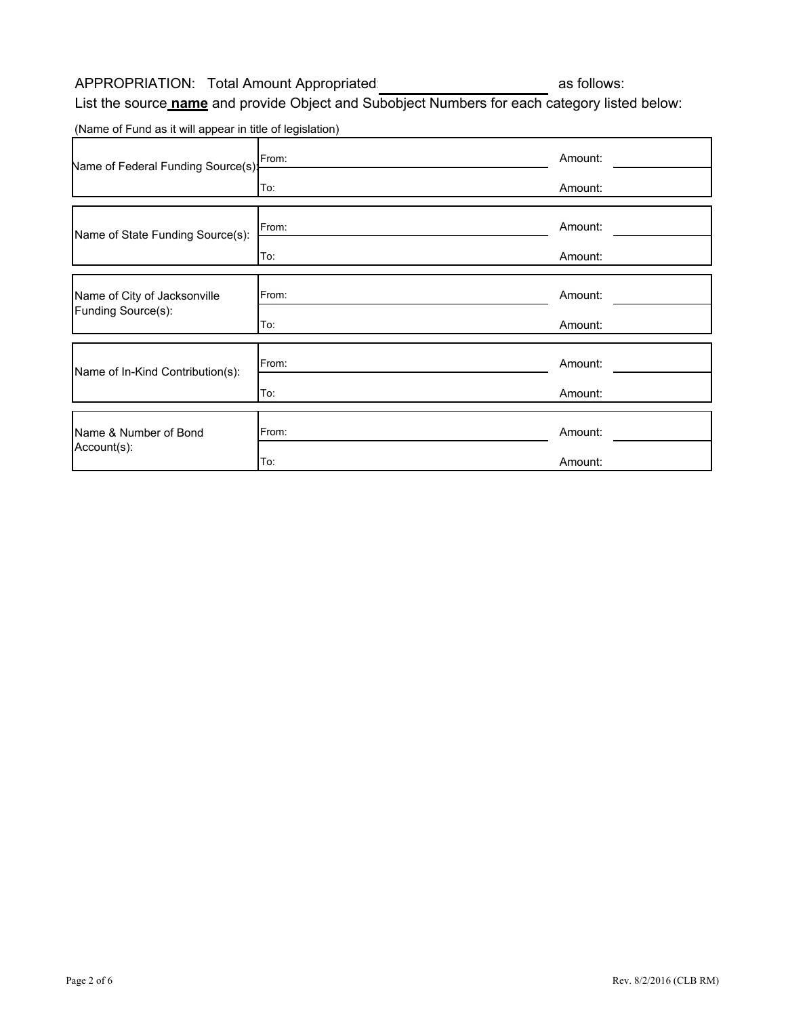## APPROPRIATION: Total Amount Appropriated: as follows:

List the source **name** and provide Object and Subobject Numbers for each category listed below:

(Name of Fund as it will appear in title of legislation)

| Name of Federal Funding Source(s): | From: | Amount: |
|------------------------------------|-------|---------|
|                                    | To:   | Amount: |
| Name of State Funding Source(s):   | From: | Amount: |
|                                    | To:   | Amount: |
| Name of City of Jacksonville       | From: | Amount: |
| Funding Source(s):                 | To:   | Amount: |
| Name of In-Kind Contribution(s):   | From: | Amount: |
|                                    | To:   | Amount: |
| Name & Number of Bond              | From: | Amount: |
| Account(s):                        | To:   | Amount: |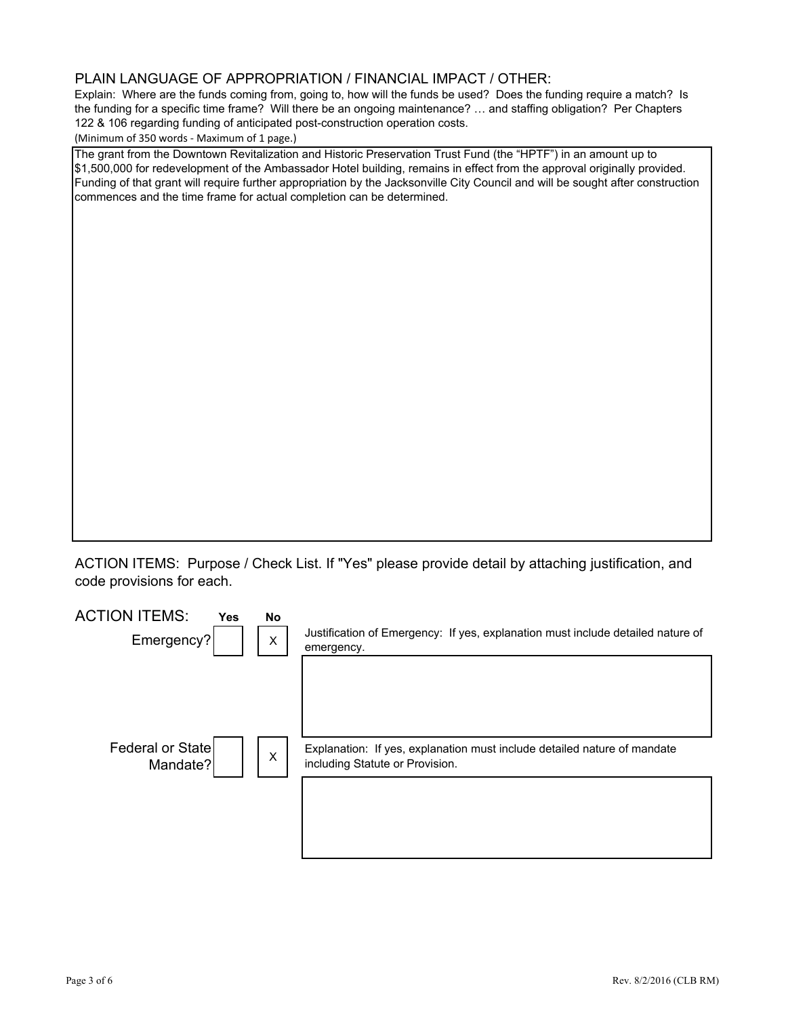#### PLAIN LANGUAGE OF APPROPRIATION / FINANCIAL IMPACT / OTHER:

Explain: Where are the funds coming from, going to, how will the funds be used? Does the funding require a match? Is the funding for a specific time frame? Will there be an ongoing maintenance? … and staffing obligation? Per Chapters 122 & 106 regarding funding of anticipated post-construction operation costs. 

(Minimum of 350 words ‐ Maximum of 1 page.)

The grant from the Downtown Revitalization and Historic Preservation Trust Fund (the "HPTF") in an amount up to \$1,500,000 for redevelopment of the Ambassador Hotel building, remains in effect from the approval originally provided. Funding of that grant will require further appropriation by the Jacksonville City Council and will be sought after construction commences and the time frame for actual completion can be determined.

ACTION ITEMS: Purpose / Check List. If "Yes" please provide detail by attaching justification, and code provisions for each.

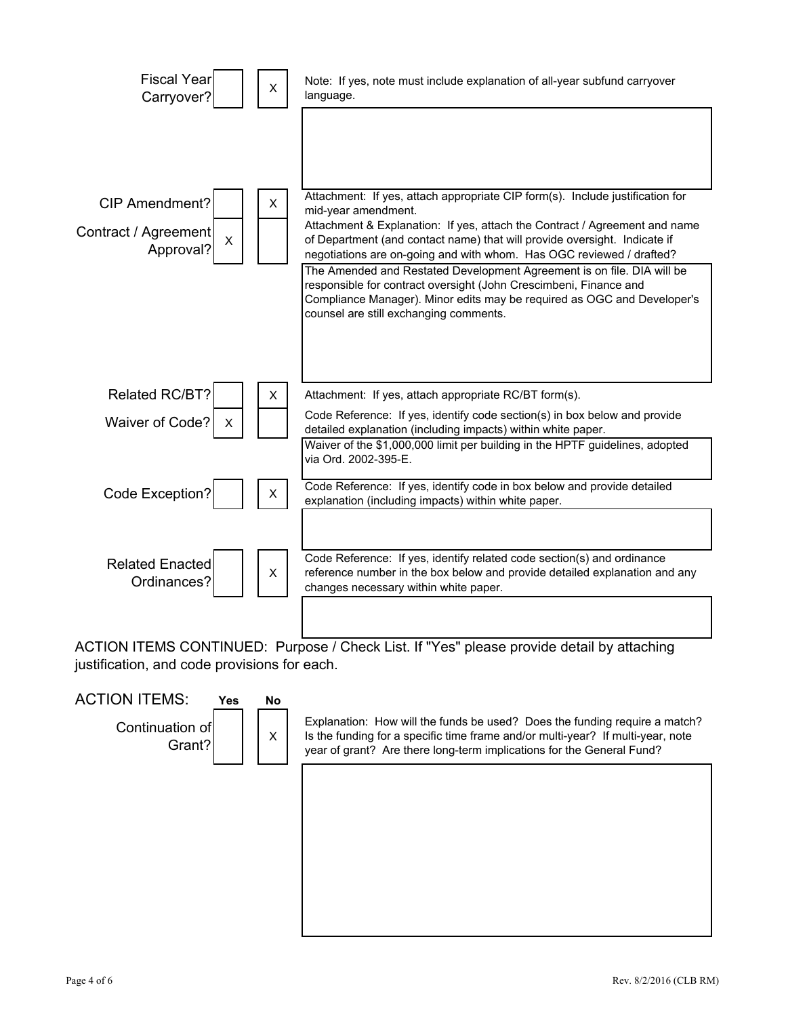

ACTION ITEMS CONTINUED: Purpose / Check List. If "Yes" please provide detail by attaching justification, and code provisions for each.

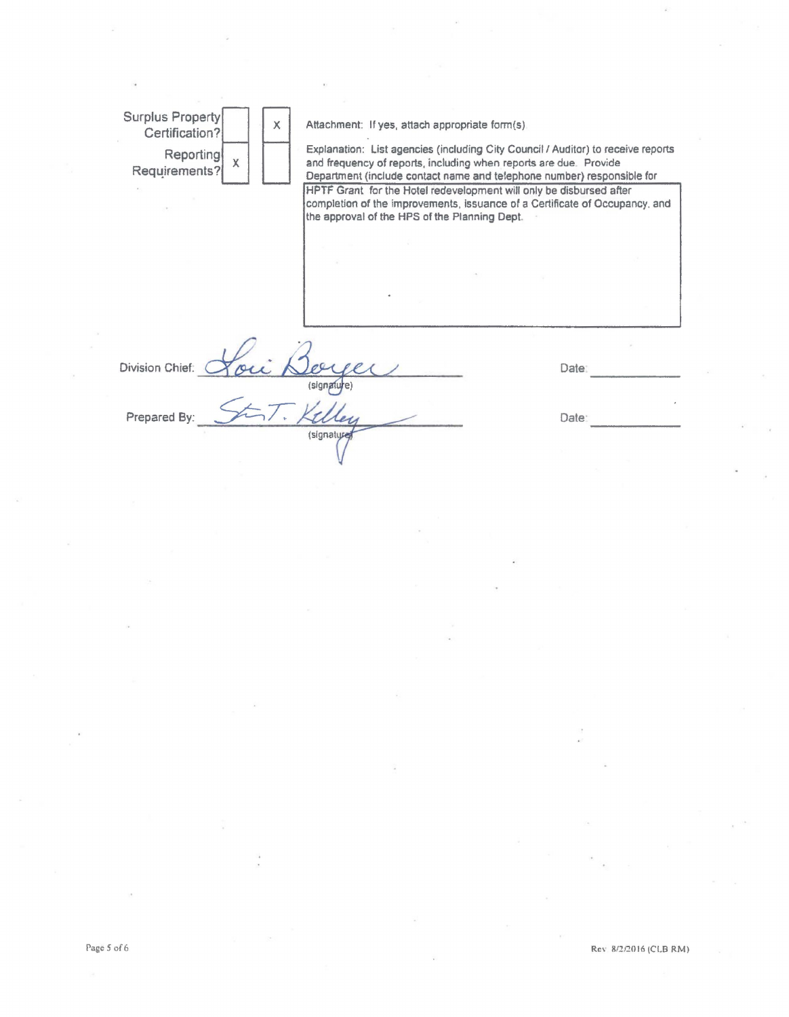Surplus Property<br>Certification? Attachment: If yes, attach appropriate form(s) Explanation: List agencies (including City Council I Auditor) to receive reports Reporting  $\begin{bmatrix} x \\ y \end{bmatrix}$ and frequency of reports, including when reports are due. Provide Requirements? Department (include contact name and telephone number) responsible for HPTF Grant for the Hotel redevelopment will only be disbursed after completion of the improvements, issuance of a Certificate of Occupancy. and the approval of the HPS of the Planning Dept. Division Chief. Date: (signature) 'U Prepared By Date: (signature